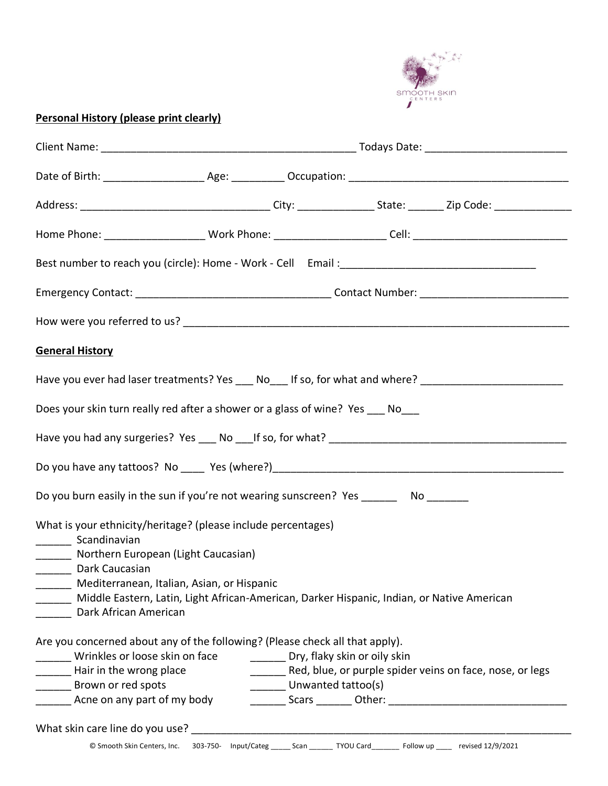

## **Personal History (please print clearly)**

| Home Phone: _______________________Work Phone: ________________________Cell: _________________________________                                                                                                                                                                                                                        |  |                    |  |                                                          |  |  |
|---------------------------------------------------------------------------------------------------------------------------------------------------------------------------------------------------------------------------------------------------------------------------------------------------------------------------------------|--|--------------------|--|----------------------------------------------------------|--|--|
|                                                                                                                                                                                                                                                                                                                                       |  |                    |  |                                                          |  |  |
|                                                                                                                                                                                                                                                                                                                                       |  |                    |  |                                                          |  |  |
|                                                                                                                                                                                                                                                                                                                                       |  |                    |  |                                                          |  |  |
| <b>General History</b>                                                                                                                                                                                                                                                                                                                |  |                    |  |                                                          |  |  |
| Have you ever had laser treatments? Yes ____ No____ If so, for what and where? _____________________                                                                                                                                                                                                                                  |  |                    |  |                                                          |  |  |
| Does your skin turn really red after a shower or a glass of wine? Yes No                                                                                                                                                                                                                                                              |  |                    |  |                                                          |  |  |
|                                                                                                                                                                                                                                                                                                                                       |  |                    |  |                                                          |  |  |
|                                                                                                                                                                                                                                                                                                                                       |  |                    |  |                                                          |  |  |
| Do you burn easily in the sun if you're not wearing sunscreen? Yes ________ No _______                                                                                                                                                                                                                                                |  |                    |  |                                                          |  |  |
| What is your ethnicity/heritage? (please include percentages)<br>_________ Scandinavian<br>______ Northern European (Light Caucasian)<br>________ Dark Caucasian<br>Mediterranean, Italian, Asian, or Hispanic<br>Middle Eastern, Latin, Light African-American, Darker Hispanic, Indian, or Native American<br>Dark African American |  |                    |  |                                                          |  |  |
| Are you concerned about any of the following? (Please check all that apply).<br>Wrinkles or loose skin on face ___________ Dry, flaky skin or oily skin<br>Hair in the wrong place<br>Brown or red spots<br>Acne on any part of my body                                                                                               |  | Unwanted tattoo(s) |  | Red, blue, or purple spider veins on face, nose, or legs |  |  |
| © Smooth Skin Centers, Inc. 303-750- Input/Categ _____ Scan ______ TYOU Card ______ Follow up ____ revised 12/9/2021                                                                                                                                                                                                                  |  |                    |  |                                                          |  |  |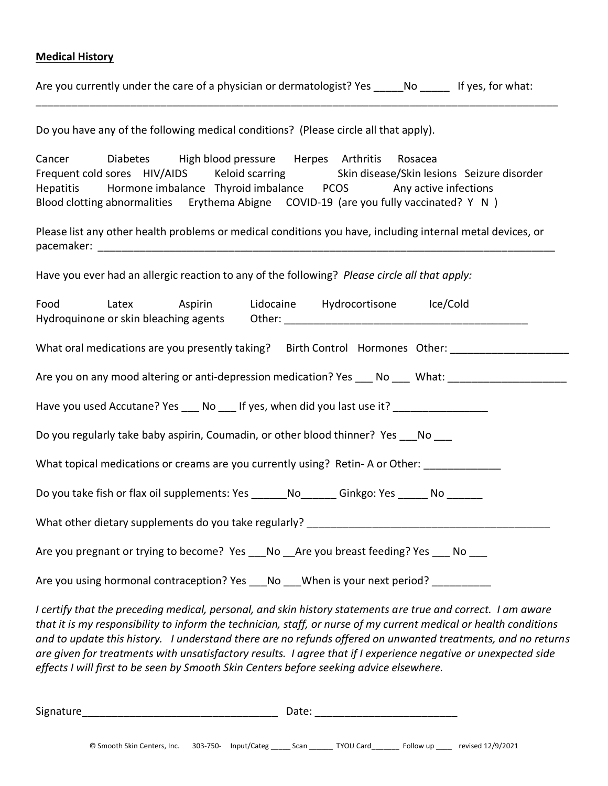## **Medical History**

Are you currently under the care of a physician or dermatologist? Yes \_\_\_\_\_No \_\_\_\_\_ If yes, for what:

\_\_\_\_\_\_\_\_\_\_\_\_\_\_\_\_\_\_\_\_\_\_\_\_\_\_\_\_\_\_\_\_\_\_\_\_\_\_\_\_\_\_\_\_\_\_\_\_\_\_\_\_\_\_\_\_\_\_\_\_\_\_\_\_\_\_\_\_\_\_\_\_\_\_\_\_\_\_\_\_\_\_\_\_\_\_\_\_

Do you have any of the following medical conditions? (Please circle all that apply).

Cancer Diabetes High blood pressure Herpes Arthritis Rosacea Frequent cold sores HIV/AIDS Keloid scarring Skin disease/Skin lesions Seizure disorder Hepatitis Hormone imbalance Thyroid imbalance PCOS Any active infections Blood clotting abnormalities Erythema Abigne COVID-19 (are you fully vaccinated? Y N )

Please list any other health problems or medical conditions you have, including internal metal devices, or  $\mathsf{pacemaker:}\hspace{1.5cm}\square$ 

Have you ever had an allergic reaction to any of the following? *Please circle all that apply:*

| Food                                                                                                         | Latex Aspirin |  |  | Lidocaine Hydrocortisone Ice/Cold | Hydroquinone or skin bleaching agents Other: ___________________________________                     |  |
|--------------------------------------------------------------------------------------------------------------|---------------|--|--|-----------------------------------|------------------------------------------------------------------------------------------------------|--|
|                                                                                                              |               |  |  |                                   | What oral medications are you presently taking? Birth Control Hormones Other:                        |  |
|                                                                                                              |               |  |  |                                   | Are you on any mood altering or anti-depression medication? Yes ___ No ___ What: ___________________ |  |
| Have you used Accutane? Yes ___ No ___ If yes, when did you last use it? _________________                   |               |  |  |                                   |                                                                                                      |  |
| Do you regularly take baby aspirin, Coumadin, or other blood thinner? Yes ___ No ___                         |               |  |  |                                   |                                                                                                      |  |
| What topical medications or creams are you currently using? Retin-A or Other: _____________                  |               |  |  |                                   |                                                                                                      |  |
| Do you take fish or flax oil supplements: Yes ________ No ________ Ginkgo: Yes _______ No _______            |               |  |  |                                   |                                                                                                      |  |
|                                                                                                              |               |  |  |                                   |                                                                                                      |  |
| Are you pregnant or trying to become? Yes ___ No __ Are you breast feeding? Yes ___ No ___                   |               |  |  |                                   |                                                                                                      |  |
| Are you using hormonal contraception? Yes ___ No ___ When is your next period? _________                     |               |  |  |                                   |                                                                                                      |  |
| I certify that the preceding medical, personal, and skin history statements are true and correct. I am aware |               |  |  |                                   |                                                                                                      |  |

*that it is my responsibility to inform the technician, staff, or nurse of my current medical or health conditions and to update this history. I understand there are no refunds offered on unwanted treatments, and no returns are given for treatments with unsatisfactory results. I agree that if I experience negative or unexpected side effects I will first to be seen by Smooth Skin Centers before seeking advice elsewhere.*

Signature\_\_\_\_\_\_\_\_\_\_\_\_\_\_\_\_\_\_\_\_\_\_\_\_\_\_\_\_\_\_\_\_\_ Date: \_\_\_\_\_\_\_\_\_\_\_\_\_\_\_\_\_\_\_\_\_\_\_\_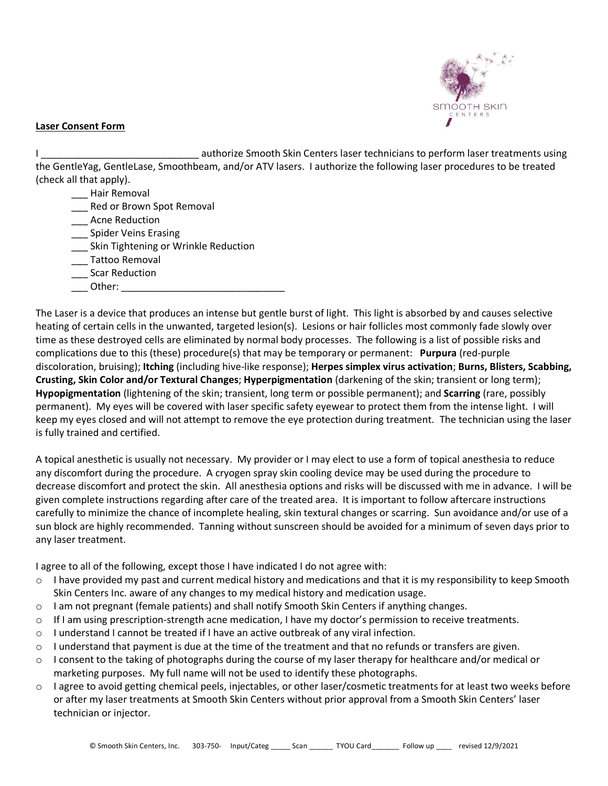

## **Laser Consent Form**

I consider a methorize Smooth Skin Centers laser technicians to perform laser treatments using the GentleYag, GentleLase, Smoothbeam, and/or ATV lasers. I authorize the following laser procedures to be treated (check all that apply).

- \_\_\_ Hair Removal
- \_\_\_ Red or Brown Spot Removal
- \_\_\_ Acne Reduction
- **Example 1** Spider Veins Erasing
- \_\_\_ Skin Tightening or Wrinkle Reduction
- \_\_\_ Tattoo Removal
- \_\_\_ Scar Reduction
- Other:

The Laser is a device that produces an intense but gentle burst of light. This light is absorbed by and causes selective heating of certain cells in the unwanted, targeted lesion(s). Lesions or hair follicles most commonly fade slowly over time as these destroyed cells are eliminated by normal body processes. The following is a list of possible risks and complications due to this (these) procedure(s) that may be temporary or permanent: **Purpura** (red-purple discoloration, bruising); **Itching** (including hive-like response); **Herpes simplex virus activation**; **Burns, Blisters, Scabbing, Crusting, Skin Color and/or Textural Changes**; **Hyperpigmentation** (darkening of the skin; transient or long term); **Hypopigmentation** (lightening of the skin; transient, long term or possible permanent); and **Scarring** (rare, possibly permanent). My eyes will be covered with laser specific safety eyewear to protect them from the intense light. I will keep my eyes closed and will not attempt to remove the eye protection during treatment. The technician using the laser is fully trained and certified.

A topical anesthetic is usually not necessary. My provider or I may elect to use a form of topical anesthesia to reduce any discomfort during the procedure. A cryogen spray skin cooling device may be used during the procedure to decrease discomfort and protect the skin. All anesthesia options and risks will be discussed with me in advance. I will be given complete instructions regarding after care of the treated area. It is important to follow aftercare instructions carefully to minimize the chance of incomplete healing, skin textural changes or scarring. Sun avoidance and/or use of a sun block are highly recommended. Tanning without sunscreen should be avoided for a minimum of seven days prior to any laser treatment.

I agree to all of the following, except those I have indicated I do not agree with:

- $\circ$  I have provided my past and current medical history and medications and that it is my responsibility to keep Smooth Skin Centers Inc. aware of any changes to my medical history and medication usage.
- o I am not pregnant (female patients) and shall notify Smooth Skin Centers if anything changes.
- $\circ$  If I am using prescription-strength acne medication, I have my doctor's permission to receive treatments.
- $\circ$  I understand I cannot be treated if I have an active outbreak of any viral infection.
- $\circ$  I understand that payment is due at the time of the treatment and that no refunds or transfers are given.
- o I consent to the taking of photographs during the course of my laser therapy for healthcare and/or medical or marketing purposes. My full name will not be used to identify these photographs.
- o I agree to avoid getting chemical peels, injectables, or other laser/cosmetic treatments for at least two weeks before or after my laser treatments at Smooth Skin Centers without prior approval from a Smooth Skin Centers' laser technician or injector.